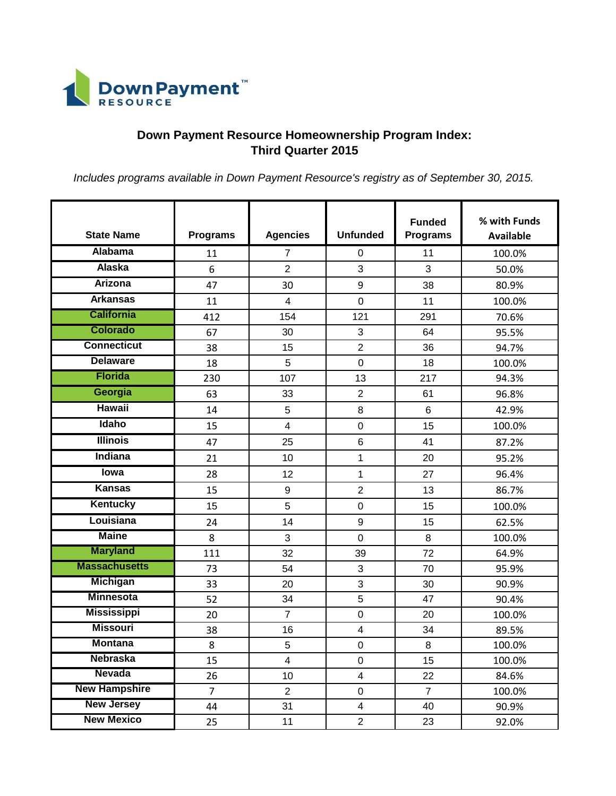

## **Down Payment Resource Homeownership Program Index: Third Quarter 2015**

*Includes programs available in Down Payment Resource's registry as of September 30, 2015.*

| <b>State Name</b>    | <b>Programs</b> | <b>Agencies</b>         | <b>Unfunded</b>         | <b>Funded</b><br><b>Programs</b> | % with Funds<br><b>Available</b> |
|----------------------|-----------------|-------------------------|-------------------------|----------------------------------|----------------------------------|
| <b>Alabama</b>       | 11              | $\overline{7}$          | 0                       | 11                               | 100.0%                           |
| <b>Alaska</b>        | 6               | $\overline{2}$          | 3                       | 3                                | 50.0%                            |
| <b>Arizona</b>       | 47              | 30                      | 9                       | 38                               | 80.9%                            |
| <b>Arkansas</b>      | 11              | $\overline{4}$          | $\mathbf 0$             | 11                               | 100.0%                           |
| <b>California</b>    | 412             | 154                     | 121                     | 291                              | 70.6%                            |
| <b>Colorado</b>      | 67              | 30                      | 3                       | 64                               | 95.5%                            |
| <b>Connecticut</b>   | 38              | 15                      | $\overline{2}$          | 36                               | 94.7%                            |
| <b>Delaware</b>      | 18              | 5                       | $\overline{0}$          | 18                               | 100.0%                           |
| <b>Florida</b>       | 230             | 107                     | 13                      | 217                              | 94.3%                            |
| Georgia              | 63              | 33                      | $\overline{2}$          | 61                               | 96.8%                            |
| <b>Hawaii</b>        | 14              | 5                       | 8                       | $6\phantom{1}$                   | 42.9%                            |
| Idaho                | 15              | $\overline{\mathbf{4}}$ | $\mathbf 0$             | 15                               | 100.0%                           |
| <b>Illinois</b>      | 47              | 25                      | $\,6$                   | 41                               | 87.2%                            |
| <b>Indiana</b>       | 21              | 10                      | $\mathbf{1}$            | 20                               | 95.2%                            |
| <b>lowa</b>          | 28              | 12                      | 1                       | 27                               | 96.4%                            |
| <b>Kansas</b>        | 15              | 9                       | $\overline{2}$          | 13                               | 86.7%                            |
| <b>Kentucky</b>      | 15              | 5                       | $\mathbf 0$             | 15                               | 100.0%                           |
| Louisiana            | 24              | 14                      | $\boldsymbol{9}$        | 15                               | 62.5%                            |
| <b>Maine</b>         | 8               | 3                       | $\mathbf 0$             | 8                                | 100.0%                           |
| <b>Maryland</b>      | 111             | 32                      | 39                      | 72                               | 64.9%                            |
| <b>Massachusetts</b> | 73              | 54                      | 3                       | 70                               | 95.9%                            |
| <b>Michigan</b>      | 33              | 20                      | 3                       | 30                               | 90.9%                            |
| <b>Minnesota</b>     | 52              | 34                      | 5                       | 47                               | 90.4%                            |
| <b>Mississippi</b>   | 20              | $\overline{7}$          | $\mathbf 0$             | 20                               | 100.0%                           |
| <b>Missouri</b>      | 38              | 16                      | $\overline{\mathbf{4}}$ | 34                               | 89.5%                            |
| <b>Montana</b>       | 8               | 5                       | $\mathbf 0$             | 8                                | 100.0%                           |
| <b>Nebraska</b>      | 15              | $\overline{\mathbf{4}}$ | $\mathbf 0$             | 15                               | 100.0%                           |
| <b>Nevada</b>        | 26              | 10                      | $\overline{\mathbf{4}}$ | 22                               | 84.6%                            |
| <b>New Hampshire</b> | $\overline{7}$  | $\overline{2}$          | $\pmb{0}$               | $\overline{7}$                   | 100.0%                           |
| <b>New Jersey</b>    | 44              | 31                      | $\overline{\mathbf{4}}$ | 40                               | 90.9%                            |
| <b>New Mexico</b>    | 25              | 11                      | $\overline{2}$          | 23                               | 92.0%                            |